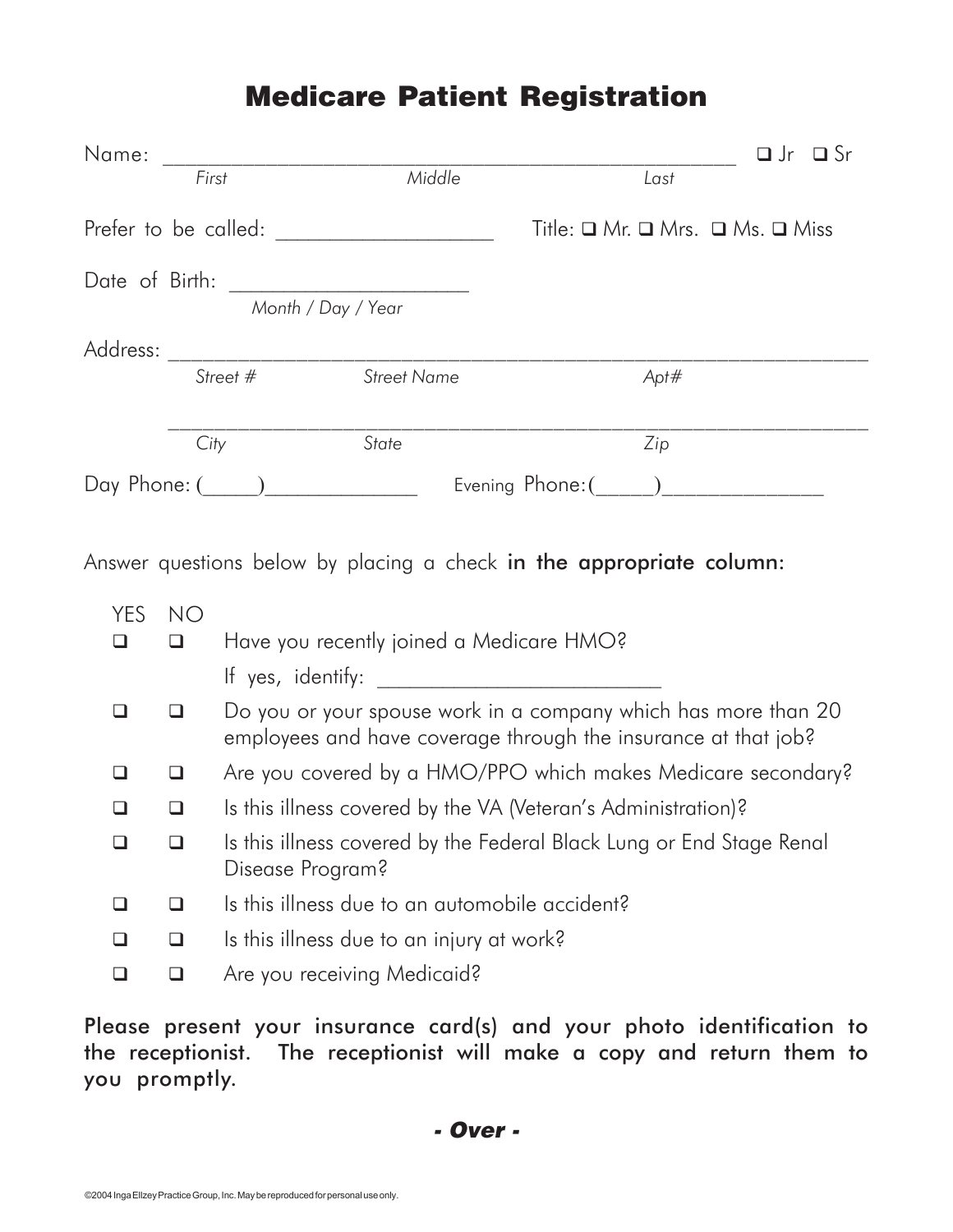## **Medicare Patient Registration**

| Name:          |           | <u> 1989 - Johann Barbara, martxa alemani</u> ar a |                                                                      |                    |                                                      | $\Box$ Jr $\Box$ Sr |  |  |
|----------------|-----------|----------------------------------------------------|----------------------------------------------------------------------|--------------------|------------------------------------------------------|---------------------|--|--|
|                | First     |                                                    | Middle                                                               |                    | Last                                                 |                     |  |  |
|                |           |                                                    |                                                                      |                    | Title: $\Box$ Mr. $\Box$ Mrs. $\Box$ Ms. $\Box$ Miss |                     |  |  |
|                |           |                                                    |                                                                      |                    |                                                      |                     |  |  |
|                |           | Month / Day / Year                                 |                                                                      |                    |                                                      |                     |  |  |
|                |           |                                                    |                                                                      |                    |                                                      |                     |  |  |
|                |           | Street # Street Name                               |                                                                      |                    | Apt#                                                 |                     |  |  |
|                |           |                                                    |                                                                      |                    |                                                      |                     |  |  |
|                | City      |                                                    | State                                                                |                    | Zip                                                  |                     |  |  |
| Day Phone: ( ) |           |                                                    |                                                                      | Evening Phone: ( ) |                                                      |                     |  |  |
|                |           |                                                    |                                                                      |                    |                                                      |                     |  |  |
|                |           |                                                    | Answer questions below by placing a check in the appropriate column: |                    |                                                      |                     |  |  |
| YES.           | <b>NO</b> |                                                    |                                                                      |                    |                                                      |                     |  |  |
| □              | $\Box$    | Have you recently joined a Medicare HMO?           |                                                                      |                    |                                                      |                     |  |  |
|                |           |                                                    |                                                                      |                    |                                                      |                     |  |  |
|                |           |                                                    | $\Box$                                                               |                    |                                                      |                     |  |  |

- $\Box$   $\Box$  Do you or your spouse work in a company which has more than 20 employees and have coverage through the insurance at that job?
- Are you covered by a HMO/PPO which makes Medicare secondary?
- Is this illness covered by the VA (Veteran's Administration)?
- □ □ Is this illness covered by the Federal Black Lung or End Stage Renal Disease Program?
- Is this illness due to an automobile accident?
- $\Box$   $\Box$  Is this illness due to an injury at work?
- **Q Q** Are you receiving Medicaid?

Please present your insurance card(s) and your photo identification to the receptionist. The receptionist will make a copy and return them to you promptly.

**- Over -**